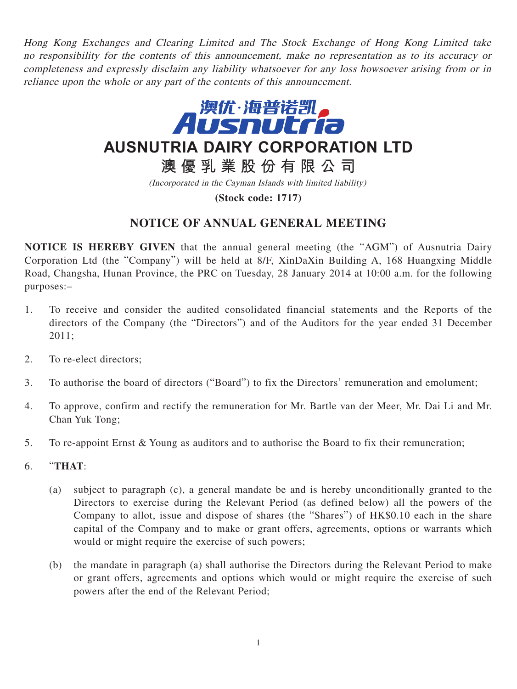Hong Kong Exchanges and Clearing Limited and The Stock Exchange of Hong Kong Limited take no responsibility for the contents of this announcement, make no representation as to its accuracy or completeness and expressly disclaim any liability whatsoever for any loss howsoever arising from or in reliance upon the whole or any part of the contents of this announcement.



**澳優乳業股份有限公司**

(Incorporated in the Cayman Islands with limited liability)

**(Stock code: 1717)**

## **NOTICE OF ANNUAL GENERAL MEETING**

**NOTICE IS HEREBY GIVEN** that the annual general meeting (the "AGM") of Ausnutria Dairy Corporation Ltd (the "Company") will be held at 8/F, XinDaXin Building A, 168 Huangxing Middle Road, Changsha, Hunan Province, the PRC on Tuesday, 28 January 2014 at 10:00 a.m. for the following purposes:–

- 1. To receive and consider the audited consolidated financial statements and the Reports of the directors of the Company (the "Directors") and of the Auditors for the year ended 31 December 2011;
- 2. To re-elect directors;
- 3. To authorise the board of directors ("Board") to fix the Directors' remuneration and emolument;
- 4. To approve, confirm and rectify the remuneration for Mr. Bartle van der Meer, Mr. Dai Li and Mr. Chan Yuk Tong;
- 5. To re-appoint Ernst & Young as auditors and to authorise the Board to fix their remuneration;
- 6. "**THAT**:
	- (a) subject to paragraph (c), a general mandate be and is hereby unconditionally granted to the Directors to exercise during the Relevant Period (as defined below) all the powers of the Company to allot, issue and dispose of shares (the "Shares") of HK\$0.10 each in the share capital of the Company and to make or grant offers, agreements, options or warrants which would or might require the exercise of such powers;
	- (b) the mandate in paragraph (a) shall authorise the Directors during the Relevant Period to make or grant offers, agreements and options which would or might require the exercise of such powers after the end of the Relevant Period;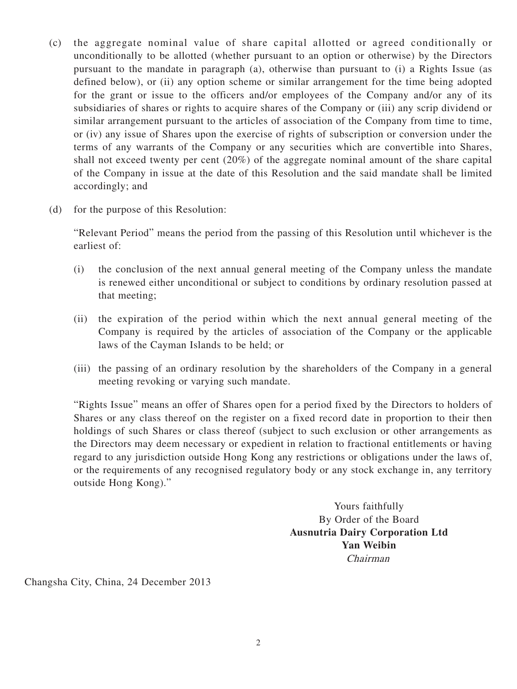- (c) the aggregate nominal value of share capital allotted or agreed conditionally or unconditionally to be allotted (whether pursuant to an option or otherwise) by the Directors pursuant to the mandate in paragraph (a), otherwise than pursuant to (i) a Rights Issue (as defined below), or (ii) any option scheme or similar arrangement for the time being adopted for the grant or issue to the officers and/or employees of the Company and/or any of its subsidiaries of shares or rights to acquire shares of the Company or (iii) any scrip dividend or similar arrangement pursuant to the articles of association of the Company from time to time, or (iv) any issue of Shares upon the exercise of rights of subscription or conversion under the terms of any warrants of the Company or any securities which are convertible into Shares, shall not exceed twenty per cent (20%) of the aggregate nominal amount of the share capital of the Company in issue at the date of this Resolution and the said mandate shall be limited accordingly; and
- (d) for the purpose of this Resolution:

"Relevant Period" means the period from the passing of this Resolution until whichever is the earliest of:

- (i) the conclusion of the next annual general meeting of the Company unless the mandate is renewed either unconditional or subject to conditions by ordinary resolution passed at that meeting;
- (ii) the expiration of the period within which the next annual general meeting of the Company is required by the articles of association of the Company or the applicable laws of the Cayman Islands to be held; or
- (iii) the passing of an ordinary resolution by the shareholders of the Company in a general meeting revoking or varying such mandate.

"Rights Issue" means an offer of Shares open for a period fixed by the Directors to holders of Shares or any class thereof on the register on a fixed record date in proportion to their then holdings of such Shares or class thereof (subject to such exclusion or other arrangements as the Directors may deem necessary or expedient in relation to fractional entitlements or having regard to any jurisdiction outside Hong Kong any restrictions or obligations under the laws of, or the requirements of any recognised regulatory body or any stock exchange in, any territory outside Hong Kong)."

> Yours faithfully By Order of the Board **Ausnutria Dairy Corporation Ltd Yan Weibin** Chairman

Changsha City, China, 24 December 2013